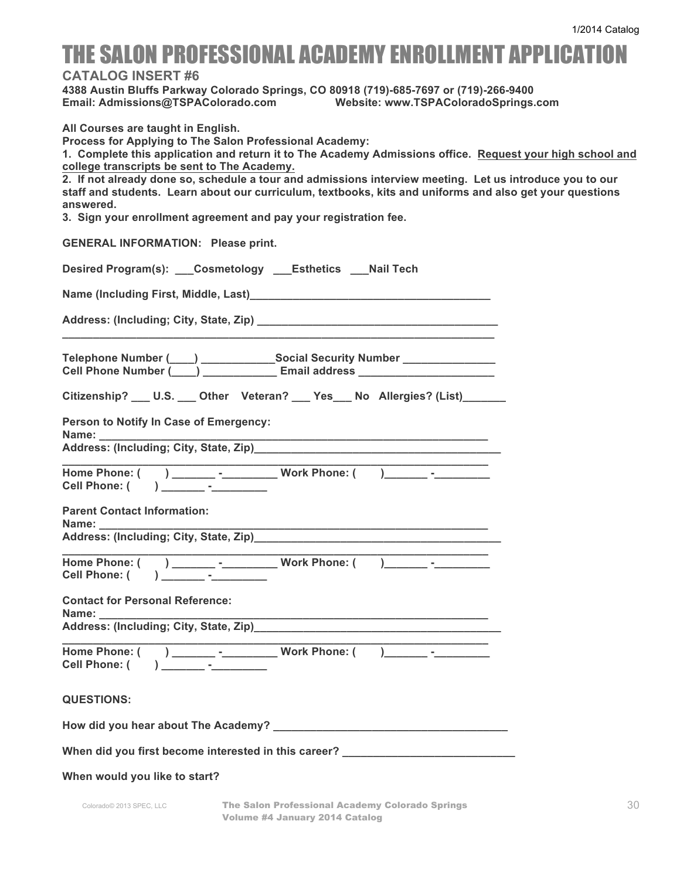## THE SALON PROFESSIONAL ACADEMY ENROLLMENT APPLICATION

**CATALOG INSERT #6** 

**4388 Austin Bluffs Parkway Colorado Springs, CO 80918 (719)-685-7697 or (719)-266-9400 Email: Admissions@TSPAColorado.com Website: www.TSPAColoradoSprings.com**

**All Courses are taught in English.**

**Process for Applying to The Salon Professional Academy:** 

**1. Complete this application and return it to The Academy Admissions office. Request your high school and college transcripts be sent to The Academy.**

**2. If not already done so, schedule a tour and admissions interview meeting. Let us introduce you to our staff and students. Learn about our curriculum, textbooks, kits and uniforms and also get your questions answered.**

**3. Sign your enrollment agreement and pay your registration fee.**

**GENERAL INFORMATION: Please print.** 

| <b>Desired Program(s):</b> | Cosmetology | <b>Esthetics</b> | <b>Nail Tech</b> |  |
|----------------------------|-------------|------------------|------------------|--|
|----------------------------|-------------|------------------|------------------|--|

**Name (Including First, Middle, Last)\_\_\_\_\_\_\_\_\_\_\_\_\_\_\_\_\_\_\_\_\_\_\_\_\_\_\_\_\_\_\_\_\_\_\_\_\_\_\_** 

Address: (Including; City, State, Zip)

| <b>Telephone Number (</b>  | <b>Social Security Number</b> |  |
|----------------------------|-------------------------------|--|
| <b>Cell Phone Number (</b> | <b>Email address</b>          |  |

**\_\_\_\_\_\_\_\_\_\_\_\_\_\_\_\_\_\_\_\_\_\_\_\_\_\_\_\_\_\_\_\_\_\_\_\_\_\_\_\_\_\_\_\_\_\_\_\_\_\_\_\_\_\_\_\_\_\_\_\_\_\_\_\_\_\_\_\_\_\_**

| Citizenship? ___ U.S. ___ Other Veteran? ___ Yes___ No Allergies? (List)_______ |  |  |  |  |  |  |  |
|---------------------------------------------------------------------------------|--|--|--|--|--|--|--|
|---------------------------------------------------------------------------------|--|--|--|--|--|--|--|

**Person to Notify In Case of Emergency:**

**Name: \_\_\_\_\_\_\_\_\_\_\_\_\_\_\_\_\_\_\_\_\_\_\_\_\_\_\_\_\_\_\_\_\_\_\_\_\_\_\_\_\_\_\_\_\_\_\_\_\_\_\_\_\_\_\_\_\_\_\_\_\_\_\_**

Address: (Including; City, State, Zip)

| Home Phone: ( | Work Phone: ( |  |
|---------------|---------------|--|
| Cell Phone: ( |               |  |

**Parent Contact Information: Name: \_\_\_\_\_\_\_\_\_\_\_\_\_\_\_\_\_\_\_\_\_\_\_\_\_\_\_\_\_\_\_\_\_\_\_\_\_\_\_\_\_\_\_\_\_\_\_\_\_\_\_\_\_\_\_\_\_\_\_\_\_\_\_**

Address: (Including; City, State, Zip)

| Home Phone: (      | Work Phone: ( |  |
|--------------------|---------------|--|
| <b>Cell Phone:</b> |               |  |

**Contact for Personal Reference: Name: \_\_\_\_\_\_\_\_\_\_\_\_\_\_\_\_\_\_\_\_\_\_\_\_\_\_\_\_\_\_\_\_\_\_\_\_\_\_\_\_\_\_\_\_\_\_\_\_\_\_\_\_\_\_\_\_\_\_\_\_\_\_\_**

| Address: (Including; City, State, Zip)_ |  |
|-----------------------------------------|--|
|-----------------------------------------|--|

| Home Phone: (      | ____________ | Work Phone: ( |  |
|--------------------|--------------|---------------|--|
| <b>Cell Phone:</b> | -            |               |  |

## **QUESTIONS:**

|--|--|

When did you first become interested in this career? \_\_\_\_\_\_\_\_\_\_\_\_\_\_\_\_\_\_\_\_\_\_\_\_\_\_\_

## **When would you like to start?**

Colorado© 2013 SPEC, LLC **The Salon Professional Academy Colorado Springs** Volume #4 January 2014 Catalog